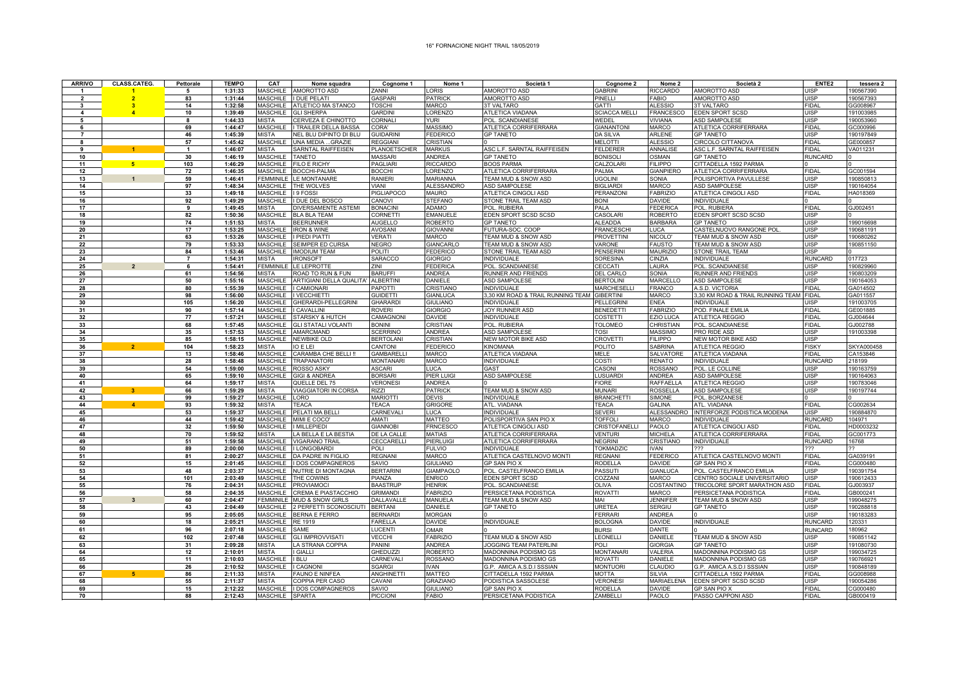## 16° FORNACIONE NIGHT TRAIL 18/05/2019

| <b>ARRIVO</b>     | CLASS.CATEG.   | Pettorale          | <b>TEMPO</b>       | CAT                                | Nome squadra                                   | Cognome 1                              | Nome 1                            | Società 1                                    | Cognome 2                           | Nome 2                              | Società 2                                         | ENTE <sub>2</sub>           | tessera 2             |
|-------------------|----------------|--------------------|--------------------|------------------------------------|------------------------------------------------|----------------------------------------|-----------------------------------|----------------------------------------------|-------------------------------------|-------------------------------------|---------------------------------------------------|-----------------------------|-----------------------|
| $\overline{ }$    | 2              | 83                 | 1:31:33<br>1:31:44 | MASCHILE                           | AMOROTTO ASD<br>MASCHILE I DUE PELATI          | ZANNI<br>GASPARI                       | LORIS<br><b>PATRICK</b>           | AMOROTTO ASD<br>AMOROTTO ASD                 | <b>GABRINI</b><br>PINELLI           | RICCARDO<br><b>FABIO</b>            | AMOROTTO ASD<br>AMOROTTO ASD                      | <b>IISP</b><br><b>JISP</b>  | 90567390<br>190567393 |
| 3                 | 3              | 14                 | 1:32:58            | <b>MASCHILE</b>                    | ATLETICO MA STANCO                             | <b>TOSCHI</b>                          | <b>MARCO</b>                      | <b>3T VALTARO</b>                            | <b>GATTI</b>                        | <b>ALESSIO</b>                      | <b>3T VALTARO</b>                                 | <b>FIDAL</b>                | GG008967              |
| $\overline{4}$    | $\overline{4}$ | 10                 | 1:39:49            | <b>MASCHILE</b>                    | <b>GLI SHERPA</b>                              | <b>GARDINI</b>                         | LORENZO                           | ATLETICA VIADANA                             | <b>SCIACCA MELLI</b>                | <b>FRANCESCO</b>                    | EDEN SPORT SCSD                                   | <b>JISP</b>                 | 191003985             |
|                   |                |                    | 1:44:33            | <b>MISTA</b>                       | CERVEZA E CHINOTTO                             | CORNALI                                | <b>YURI</b>                       | POL. SCANDIANESE                             | WEDEL                               | VIVIANA                             | ASD SAMPOLESE                                     | <b>JISP</b>                 | 190053960             |
| 6                 |                | 69                 | 1:44:47            | <b>MASCHILE</b>                    | I TRAILER DELLA BASSA                          | CORA'                                  | MASSIMO                           | ATLETICA CORRIFERRARA                        | <b>GIANANTONI</b>                   | <b>MARCO</b>                        | ATLETICA CORRIFERRARA                             | <b>IDAL</b>                 | GC000996              |
| $\overline{7}$    |                | 46                 | 1:45:39            | MISTA                              | NEL BLU DIPINTO DI BLU                         | <b>GUIDARINI</b>                       | <b>FEDERICO</b>                   | <b>GP TANETO</b>                             | DA SILVA                            | ARLENE                              | <b>GP TANETO</b>                                  | <b>JISP</b>                 | 190197849             |
| 8<br>$\mathbf{q}$ |                | 57<br>$\mathbf{1}$ | 1:45:42<br>1:46:07 | MASCHILE<br><b>MISTA</b>           | UNA MEDIA  GRAZIE<br>SARNTAL RAIFFEISEN        | <b>REGGIANI</b><br><b>PLANOETSCHER</b> | CRISTIAN<br><b>MARKUS</b>         | ASC L.F. SARNTAL RAIFFEISEN                  | <b>MELOTTI</b><br><b>FELDERER</b>   | <b>ALESSIO</b><br><b>ANNALISE</b>   | CIRCOLO CITTANOVA<br>ASC L.F. SARNTAL RAIFFEISEN  | <b>IDAL</b><br>FIDAL        | GE000857<br>VA011231  |
| 10                |                | 30                 | 1:46:19            | MASCHILE TANETO                    |                                                | <b>MASSARI</b>                         | <b>ANDREA</b>                     | <b>GP TANETO</b>                             | <b>BONISOLI</b>                     | OSMAN                               | <b>GP TANETO</b>                                  | RUNCARD                     |                       |
| 11                | $5\phantom{1}$ | 103                | 1:46:29            | MASCHILE                           | <b>FILO E RICHY</b>                            | <b>PAGLIAR</b>                         | <b>RICCARDO</b>                   | <b>BOOS PARMA</b>                            | CALZOLARI                           | <b>FILIPPO</b>                      | CITTADELLA 1592 PARMA                             |                             |                       |
| 12                |                | 72                 | 1:46:35            | MASCHILE                           | <b>BOCCHI-PALMA</b>                            | <b>BOCCHI</b>                          | LORENZO                           | ATLETICA CORRIFERRARA                        | PALMA                               | <b>GIANPIERO</b>                    | ATLETICA CORRIFERRARA                             | <b>IDAL</b>                 | GC001594              |
| 13                |                | 59                 | 1:46:41            | <b>FEMMINILE</b>                   | LE MONTANARE                                   | RANIERI                                | <b>MARIANNA</b>                   | TEAM MUD & SNOW ASD                          | <b>UGOLINI</b>                      | SONIA                               | POLISPORTIVA PAVULLESE                            | <b>JISP</b>                 | 190850813             |
| 14                |                | 97                 | 1:48:34            | MASCHILE                           | THE WOLVES                                     | VIANI                                  | ALESSANDRO                        | ASD SAMPOLESE                                | <b>BIGLIARD</b>                     | <b>MARCO</b>                        | ASD SAMPOLESE                                     | <b>JISP</b>                 | 190164054             |
| 15<br>16          |                | 33<br>92           | 1:49:18<br>1:49:29 | <b>MASCHILE</b><br>MASCHILE        | <b>I 9 FOSSI</b>                               | <b>PIGLIAPOCO</b><br>CANOVI            | <b>MAURO</b><br><b>STEFANO</b>    | ATLETICA CINGOLI ASD<br>STONE TRAIL TEAM ASD | PERANZONI                           | <b>FABRIZIO</b><br><b>DAVIDE</b>    | ATLETICA CINGOLI ASD                              | <b>FIDAL</b>                | HA018369              |
| 17                |                | 9                  | 1:49:45            | <b>MISTA</b>                       | I DUE DEL BOSCO<br>DIVERSAMENTE ASTEMI         | <b>BONACINI</b>                        | <b>ADAMO</b>                      | POL. RUBIERA                                 | <b>BONI</b><br>PALA                 | <b>FEDERICA</b>                     | <b>INDIVIDUALE</b><br>POL. RUBIERA                | <b>FIDAL</b>                | GJ002451              |
| 18                |                | 82                 | 1:50:36            | <b>MASCHILE</b>                    | <b>BLA BLA TEAM</b>                            | CORNETTI                               | EMANUELE                          | EDEN SPORT SCSD SCSD                         | CASOLARI                            | <b>ROBERTO</b>                      | EDEN SPORT SCSD SCSD                              | <b>JISP</b>                 |                       |
| 19                |                | 74                 | 1:51:53            | MISTA                              | <b>BEERUNNER</b>                               | <b>AUGELLO</b>                         | <b>ROBERTO</b>                    | <b>GP TANETO</b>                             | <b>ALEADDA</b>                      | <b>BARBARA</b>                      | <b>GP TANETO</b>                                  | <b>JISP</b>                 | 199016698             |
| 20                |                | 17                 | 1:53:25            | MASCHILE                           | <b>IRON &amp; WINE</b>                         | <b>AVOSANI</b>                         | <b>GIOVANNI</b>                   | FUTURA-SOC. COOP                             | <b>FRANCESCHI</b>                   | LUCA                                | CASTELNUOVO RANGONE POL                           | <b>JISP</b>                 | 190681191             |
| 21                |                | 63                 | 1:53:26            | MASCHILE                           | I PIEDI PIATTI                                 | <b>VERATI</b>                          | <b>MARCO</b>                      | TEAM MUD & SNOW ASD                          | <b>PROVETTINI</b>                   | NICOLO <sup>®</sup>                 | TEAM MUD & SNOW ASD                               | <b>JISP</b>                 | 190680262             |
| 22                |                | 79                 | 1:53:33            |                                    | MASCHILE SEIMPER ED CURSA                      | <b>NEGRO</b>                           | <b>GIANCARLO</b>                  | TEAM MUD & SNOW ASD                          | VARONE                              | <b>FAUSTO</b>                       | TEAM MUD & SNOW ASD                               | <b>JISP</b>                 | 190851150             |
| 23<br>24          |                | 84                 | 1:53:46<br>1:54:31 | <b>MASCHILE</b><br><b>MISTA</b>    | <b>IMODIUM TEAM</b><br><b>IRONSOFT</b>         | POLITI<br>SARACCO                      | <b>FEDERICO</b><br><b>GIORGIO</b> | STONE TRAIL TEAM ASD<br><b>INDIVIDUALE</b>   | PENSERINI<br><b>SORESINA</b>        | <b>MAURIZIO</b><br>CINZIA           | STONE TRAIL TEAM<br>INDIVIDUALE                   | <b>JISP</b><br>RUNCARD      | 017723                |
| 25                | $\overline{2}$ | 6                  | 1:54:41            |                                    | FEMMINILE LE LEPROTTE                          | ZINI                                   | <b>FEDERICA</b>                   | POL. SCANDIANESE                             | CECCATI                             | LAURA                               | POL. SCANDIANESE                                  | <b>JISP</b>                 | 190829960             |
| 26                |                | 61                 | 1:54:56            | <b>MISTA</b>                       | ROAD TO RUN & FUN                              | <b>BARUFFI</b>                         | <b>ANDREA</b>                     | RUNNER AND FRIENDS                           | <b>DEL CARLO</b>                    | SONIA                               | RUNNER AND FRIENDS                                | <b>JISP</b>                 | 190803209             |
| 27                |                | 50                 | 1:55:16            | MASCHILE                           | ARTIGIANI DELLA QUALITA'                       | <b>ALBERTINI</b>                       | DANIELE                           | ASD SAMPOLESE                                | <b>BERTOLINI</b>                    | MARCELLO                            | <b>ASD SAMPOLESE</b>                              | <b>JISP</b>                 | 190164053             |
| 28                |                | 80                 | 1:55:39            | MASCHILE                           | <b>I CAMIONARI</b>                             | PAPOTTI                                | <b>CRISTIANO</b>                  | <b>INDIVIDUALE</b>                           | <b>MARCHESELL</b>                   | <b>FRANCO</b>                       | A.S.D. VICTORIA                                   | <b>IDAL</b>                 | GA014502              |
| 29                |                | 98                 | 1:56:00            | MASCHILE                           | I VECCHIETTI                                   | <b>GUIDETTI</b>                        | GIANLUCA                          | 3,30 KM ROAD & TRAIL RUNNING TEAM            | <b>GIBERTINI</b>                    | <b>MARCO</b>                        | 30 KM ROAD & TRAIL RUNNING TEAM                   | <b>IDAL</b>                 | GA011557              |
| 30                |                | 105                | 1:56:20            | MASCHILE                           | GHERARDI-PELLEGRINI                            | <b>GHARARDI</b>                        | <b>GIULIANO</b>                   | <b>INDIVIDUALE</b>                           | PELLEGRINI                          | ENEA                                | <b>INDIVIDUALE</b>                                | <b>IISP</b>                 | 191003705             |
| 31<br>32          |                | 90<br>77           | 1:57:14<br>1:57:21 | MASCHILE   CAVALLINI<br>MASCHILE   | <b>STARSKY &amp; HUTCH</b>                     | ROVERI<br>CAMAGNONI                    | <b>GIORGIO</b><br><b>DAVIDE</b>   | JOY RUNNER ASD<br><b>INDIVIDUALE</b>         | <b>BENEDETTI</b><br><b>COSTETTI</b> | <b>FABRIZIO</b><br><b>EZIO LUCA</b> | POD. FINALE EMILIA<br><b>ATLETICA REGGIO</b>      | <b>IDAL</b><br><b>FIDAL</b> | GE001885<br>GJ004644  |
| 33                |                | 68                 | 1:57:45            |                                    | MASCHILE GLI STATALI VOLANTI                   | <b>BONINI</b>                          | <b>CRISTIAN</b>                   | POL. RUBIERA                                 | <b>TOLOMEO</b>                      | <b>CHRISTIAN</b>                    | POL. SCANDIANESE                                  | <b>IDAL</b>                 | GJ002788              |
| 34                |                | 35                 | 1:57:53            | MASCHILE                           | <b>AMARCMAND</b>                               | <b>SCERRINO</b>                        | <b>ANDREA</b>                     | ASD SAMPOLESE                                | TOSI                                | MASSIMO                             | PRO RIDE ASD                                      | <b>JISP</b>                 | 191003398             |
| 35                |                | 85                 | 1:58:15            | MASCHILE                           | <b>NEWBIKE OLD</b>                             | <b>BERTOLANI</b>                       | <b>CRISTIAN</b>                   | NEW MOTOR BIKE ASD                           | <b>CROVETTI</b>                     | <b>FILIPPO</b>                      | NEW MOTOR BIKE ASD                                | <b>JISP</b>                 |                       |
| 36                | $\overline{2}$ | 104                | 1:58:23            | <b>MISTA</b>                       | IO E LEI                                       | CANTONI                                | <b>FEDERICO</b>                   | KINOMANA                                     | <b>POLITO</b>                       | <b>SABRINA</b>                      | <b>ATLETICA REGGIO</b>                            | <b>FISKY</b>                | SKYA000458            |
| 37                |                | 13                 | 1:58:46            | <b>MASCHILE</b>                    | CARAMBA CHE BELLI !!                           | <b>GAMBARELL</b>                       | <b>MARCO</b>                      | ATLETICA VIADANA                             | <b>MELE</b>                         | SALVATORE                           | ATLETICA VIADANA                                  | FIDAL                       | CA153846              |
| 38<br>39          |                | 28<br>54           | 1:58:48<br>1:59:00 | <b>MASCHILE</b><br>MASCHILE        | <b>TRAPANATORI</b><br><b>ROSSO ASKY</b>        | <b>MONTANARI</b><br><b>ASCARI</b>      | <b>MARCO</b><br><b>LUCA</b>       | INDIVIDUALE<br>GAST                          | COSTI<br>CASONI                     | <b>RENATO</b><br><b>ROSSANO</b>     | <b>INDIVIDUALE</b><br>POL. LE COLLINE             | RUNCARD<br><b>JISP</b>      | 218199<br>190163759   |
| 40                |                | 65                 | 1:59:10            | <b>MASCHILE</b>                    | <b>GIGI &amp; ANDREA</b>                       | <b>BORSARI</b>                         | PIER LUIGI                        | ASD SAMPOLESE                                | LUSUARD                             | ANDREA                              | ASD SAMPOLESE                                     | <b>JISP</b>                 | 90164063              |
| 41                |                | 64                 | 1:59:17            | MISTA                              | QUELLE DEL 75                                  | VERONESI                               | ANDREA                            |                                              | <b>FIORE</b>                        | RAFFAELLA                           | <b>ATLETICA REGGIO</b>                            | <b>JISP</b>                 | 90783046              |
| 42                | 3              | 66                 | 1:59:29            | <b>MISTA</b>                       | VIAGGIATORI IN CORSA                           | RIZZI                                  | <b>PATRICK</b>                    | TEAM MUD & SNOW ASD                          | <b>MUNARI</b>                       | <b>ROSSELLA</b>                     | ASD SAMPOLESE                                     | <b>JISP</b>                 | 190197744             |
| 43                |                | 99                 | 1:59:27            | <b>MASCHILE</b>                    | LORO                                           | <b>MARIOTTI</b>                        | <b>DEVIS</b>                      | INDIVIDUALE                                  | <b>BRANCHETTI</b>                   | <b>SIMONE</b>                       | POL. BORZANESE                                    |                             |                       |
| 44                | $\overline{4}$ | 93                 | 1:59:32            | <b>MISTA</b>                       | <b>TEACA</b>                                   | <b>TEACA</b>                           | <b>GRIGORE</b>                    | ATL. VIADANA                                 | <b>TEACA</b>                        | <b>GALINA</b>                       | ATL. VIADANA                                      | FIDAL                       | CG002634              |
| 45<br>46          |                | 53<br>44           | 1:59:37<br>1:59:42 | <b>MASCHILE</b><br><b>MASCHILE</b> | PELATI MA BELLI<br>MIMI E COCO'                | CARNEVAL<br><b>ITAMA</b>               | LUCA<br><b>MATTEO</b>             | <b>INDIVIDUALE</b><br>POLISPORTIVA SAN PIO X | <b>SEVERI</b><br><b>TOFFOLI</b>     | <b>ALESSANDRO</b><br>MARCO          | INTERFORZE PODISTICA MODENA<br><b>INDIVIDUALE</b> | <b>JISP</b><br>RUNCARD      | 190884870<br>04971    |
| 47                |                | 32                 | 1:59:50            | <b>MASCHILE</b>                    | <b>I MILLEPIEDI</b>                            | GIANNOBI                               | <b>FRNCESCO</b>                   | ATLETICA CINGOLI ASD                         | <b>CRISTOFANELLI</b>                | PAOLO                               | ATLETICA CINGOLI ASD                              | <b>FIDAL</b>                | HD0003232             |
| 48                |                | 70                 | 1:59:52            | <b>MISTA</b>                       | LA BELLA E LA BESTIA                           | DE LA CALLE                            | <b>MATIAS</b>                     | ATLETICA CORRIFERRARA                        | <b>VENTURI</b>                      | <b>MICHELA</b>                      | ATLETICA CORRIFERRARA                             | <b>FIDAL</b>                | GC001773              |
| 49                |                | 51                 | 1:59:58            | <b>MASCHILE</b>                    | <b>VIGARANO TRAIL</b>                          | CECCARELLI                             | PIERLUIGI                         | ATLETICA CORRIFERRARA                        | <b>NEGRINI</b>                      | CRISTIANO                           | <b>INDIVIDUALE</b>                                | <b>RUNCARD</b>              | 16768                 |
| 50                |                | 89                 | 2:00:00            | MASCHILE                           | <b>ILONGOBARDI</b>                             | POLI                                   | <b>FULVIO</b>                     | <b>INDIVIDUALE</b>                           | <b>TOKMADZIC</b>                    | <b>IVAN</b>                         |                                                   | ???                         |                       |
| 51<br>52          |                | 81<br>15           | 2:00:27<br>2:01:45 | MASCHILE<br>MASCHILE               | DA PADRE IN FIGLIO<br><b>I DOS COMPAGNEROS</b> | REGNANI<br>SAVIO                       | <b>MARCO</b><br><b>GIULIANO</b>   | ATLETICA CASTELNOVO MONTI<br>GP SAN PIO X    | REGNANI<br>RODELLA                  | <b>FEDERICO</b><br><b>DAVIDE</b>    | ATLETICA CASTELNOVO MONTI<br>GP SAN PIO X         | <b>IDAL</b><br><b>IDAL</b>  | 3A039191<br>G000480   |
| 53                |                | 48                 | 2:03:37            | MASCHILE                           | NUTRIE DI MONTAGNA                             | <b>BERTARINI</b>                       | <b>GIAMPAOLO</b>                  | POL. CASTELFRANCO EMILIA                     | <b>PASSUTI</b>                      | <b>GIANLUCA</b>                     | POL. CASTELFRANCO EMILIA                          | <b>JISP</b>                 | 90391754              |
| 54                |                | 101                | 2:03:49            |                                    | MASCHILE THE COWINS                            | PIANZA                                 | <b>ENRICO</b>                     | EDEN SPORT SCSD                              | COZZANI                             | <b>MARCO</b>                        | CENTRO SOCIALE UNIVERSITARIO                      | <b>JISP</b>                 | 190612433             |
| 55                |                | 76                 | 2:04:31            |                                    | MASCHILE PROVIAMOCI                            | <b>BAASTRUF</b>                        | <b>HENRIK</b>                     | POL. SCANDIANESE                             | OLIVA                               | COSTANTINO                          | TRICOLORE SPORT MARATHON ASD                      | <b>IDAL</b>                 | GJ003937              |
| 56                |                | 58                 | 2:04:35            | MASCHILE                           | <b>CREMA E PIASTACCHIO</b>                     | <b>GRIMANDI</b>                        | <b>FABRIZIO</b>                   | PERSICETANA PODISTICA                        | <b>ROVATTI</b>                      | <b>MARCO</b>                        | PERSICETANA PODISTICA                             | <b>IDAL</b>                 | GB000241              |
| 57                |                | 60                 | 2:04:47            | <b>FEMMINILE</b>                   | <b>MUD &amp; SNOW GIRLS</b>                    | DALLAVALLE                             | MANUELA                           | TEAM MUD & SNOW ASD                          | MAI                                 | <b>JENNIFER</b>                     | TEAM MUD & SNOW ASD                               | <b>JISP</b>                 | 99048275              |
| 58                |                | 43<br>95           | 2:04:49<br>2:05:05 | MASCHILE<br><b>MASCHILE</b>        | 2 PERFETTI SCONOSCIUTI<br><b>BERNA E FERRO</b> | <b>BERTANI</b>                         | DANIELE                           | <b>GP TANETO</b>                             | <b>URETEA</b><br><b>FERRARI</b>     | SERGIU<br><b>ANDREA</b>             | <b>GP TANETO</b>                                  | <b>JISP</b><br><b>JISP</b>  | 90288818<br>190183283 |
| 59<br>60          |                | 18                 | 2:05:21            | <b>MASCHILE</b>                    | <b>RE 1919</b>                                 | <b>BERNARDI</b><br><b>FARELLA</b>      | <b>MORGAN</b><br><b>DAVIDE</b>    | <b>INDIVIDUALE</b>                           | <b>BOLOGNA</b>                      | <b>DAVIDE</b>                       | <b>INDIVIDUALE</b>                                | <b>RUNCARD</b>              | 120331                |
| 61                |                | 96                 | 2:07:18            | MASCHILE                           | SAME                                           | LUCENTI                                | OMAR                              |                                              | <b>BURSI</b>                        | <b>DANTE</b>                        |                                                   | RUNCARD                     | 180962                |
| 62                |                | 102                | 2:07:48            | MASCHILE                           | <b>GLI IMPROVVISATI</b>                        | <b>VECCHI</b>                          | <b>FABRIZIO</b>                   | TEAM MUD & SNOW ASD                          | LEONELL                             | DANIELE                             | TEAM MUD & SNOW ASD                               | <b>JISP</b>                 | 190851142             |
| 63                |                | 31                 | 2:09:28            | <b>MISTA</b>                       | LA STRANA COPPIA                               | <b>PANINI</b>                          | <b>ANDREA</b>                     | <b>JOGGING TEAM PATERLIN</b>                 | POLI                                | <b>GIORGIA</b>                      | <b>GP TANETO</b>                                  | <b>JISP</b>                 | 191080730             |
| 64                |                | 12                 | 2:10:01            | <b>MISTA</b>                       | <b>I GIALLI</b>                                | GHEDUZZ                                | <b>ROBERTC</b>                    | MADONNINA PODISMO GS                         | <b>MONTANARI</b>                    | VALERIA                             | MADONNINA PODISMO GS                              | <b>JISP</b>                 | 199034725             |
| 65                |                | 11                 | 2:10:03            | MASCHILE                           | II BLU                                         | CARNEVAL                               | <b>ROSSANO</b>                    | MADONNINA PODISMO GS                         | <b>ROVATTI</b>                      | <b>DANIELE</b>                      | MADONNINA PODISMO GS                              | <b>JISP</b>                 | 190766921             |
| 66                |                | 26                 | 2:10:52            | <b>MASCHILE</b>                    | I CAGNONI                                      | SGARGI                                 | <b>IVAN</b>                       | G.P. AMICA A.S.D.I SSSIAN                    | <b>MONTUORI</b>                     | CLAUDIO                             | G.P. AMICA A.S.D.I SSSIAN                         | <b>JISP</b>                 | 90848189              |
| 67<br>68          |                | 86                 | 2:11:33<br>2:11:37 | <b>MISTA</b><br><b>MISTA</b>       | <b>FAUNO E NINFEA</b><br>COPPIA PER CASO       | ANGHINETTI                             | <b>MATTEO</b><br><b>GRAZIANO</b>  | CITTADELLA 1592 PARMA<br>PODISTICA SASSOLESE | <b>MOTTA</b><br><b>VERONESI</b>     | <b>SILVIA</b><br>MARIAELENA         | CITTADELLA 1592 PARMA<br>EDEN SPORT SCSD SCSD     | FIDAL<br><b>JISP</b>        | GG008988<br>190054286 |
| 69                |                | 55<br>15           | 2:12:22            | <b>MASCHILE</b>                    | <b>I DOS COMPAGNEROS</b>                       | CAVANI<br>SAVIO                        | <b>GIULIANO</b>                   | GP SAN PIO X                                 | <b>RODELLA</b>                      | <b>DAVIDE</b>                       | GP SAN PIO X                                      | <b>IDAL</b>                 | G000480               |
| 70                |                | 88                 | 2:12:43            | MASCHILE SPARTA                    |                                                | PICCIONI                               | <b>FABIO</b>                      | PERSICETANA PODISTICA                        | <b>ZAMBELLI</b>                     | PAOLO                               | PASSO CAPPONI ASD                                 | <b>FIDAL</b>                | GB000419              |
|                   |                |                    |                    |                                    |                                                |                                        |                                   |                                              |                                     |                                     |                                                   |                             |                       |